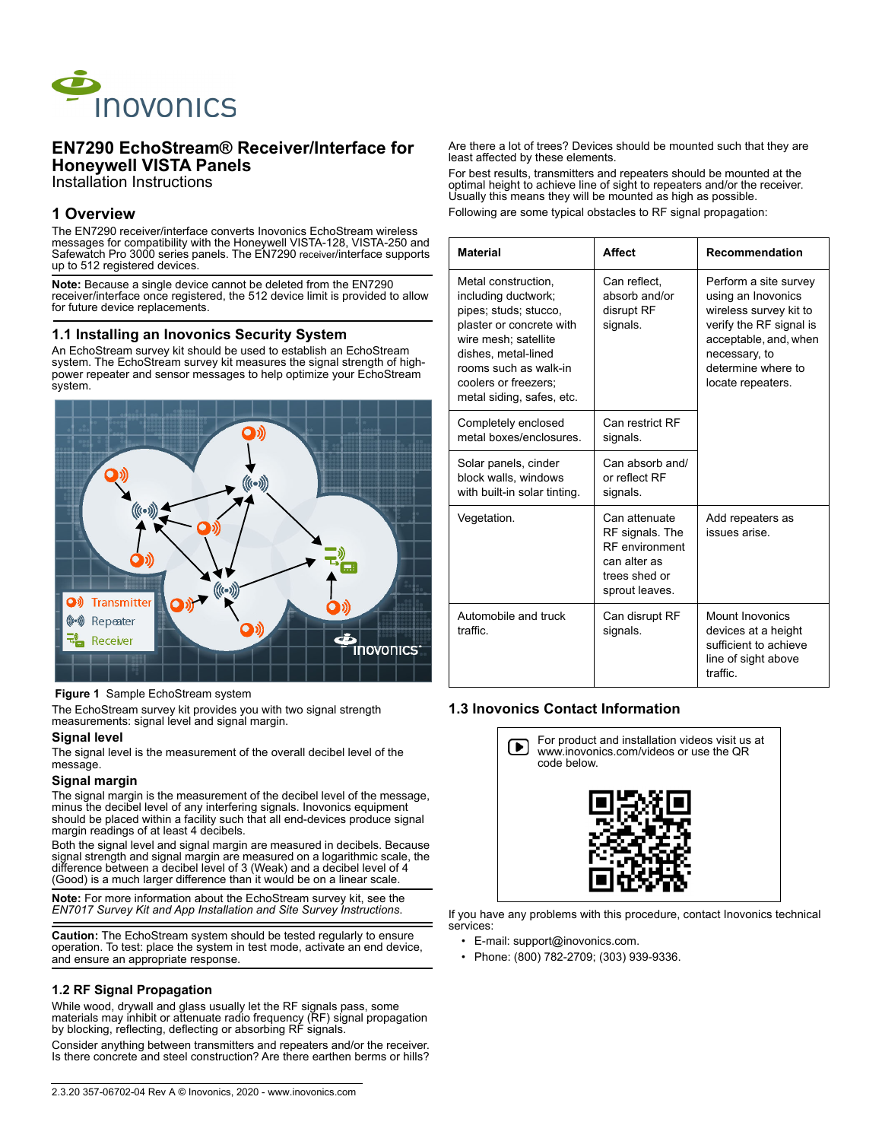

# **EN7290 EchoStream® Receiver/Interface for Honeywell VISTA Panels**

Installation Instructions

# **1 Overview**

The EN7290 receiver/interface converts Inovonics EchoStream wireless messages for compatibility with the Honeywell VISTA-128, VISTA-250 and Safewatch Pro 3000 series panels. The EN7290 receiver/interface supports up to 512 registered devices.

**Note:** Because a single device cannot be deleted from the EN7290 receiver/interface once registered, the 512 device limit is provided to allow for future device replacements.

### **1.1 Installing an Inovonics Security System**

An EchoStream survey kit should be used to establish an EchoStream system. The EchoStream survey kit measures the signal strength of highpower repeater and sensor messages to help optimize your EchoStream system.



 **Figure 1** Sample EchoStream system

The EchoStream survey kit provides you with two signal strength measurements: signal level and signal margin.

#### **Signal level**

The signal level is the measurement of the overall decibel level of the message.

#### **Signal margin**

The signal margin is the measurement of the decibel level of the message. minus the decibel level of any interfering signals. Inovonics equipment should be placed within a facility such that all end-devices produce signal margin readings of at least 4 decibels.

Both the signal level and signal margin are measured in decibels. Because signal strength and signal margin are measured on a logarithmic scale, the difference between a decibel level of 3 (Weak) and a decibel level of 4 (Good) is a much larger difference than it would be on a linear scale.

**Note:** For more information about the EchoStream survey kit, see the *EN7017 Survey Kit and App Installation and Site Survey Instructions*.

**Caution:** The EchoStream system should be tested regularly to ensure operation. To test: place the system in test mode, activate an end device, and ensure an appropriate response.

## **1.2 RF Signal Propagation**

While wood, drywall and glass usually let the RF signals pass, some materials may inhibit or attenuate radio frequency (RF) signal propagation by blocking, reflecting, deflecting or absorbing RF signals.

Consider anything between transmitters and repeaters and/or the receiver. Is there concrete and steel construction? Are there earthen berms or hills? Are there a lot of trees? Devices should be mounted such that they are least affected by these elements.

For best results, transmitters and repeaters should be mounted at the optimal height to achieve line of sight to repeaters and/or the receiver. Usually this means they will be mounted as high as possible. Following are some typical obstacles to RF signal propagation:

| <b>Material</b>                                                                                                                                                                                                              | <b>Affect</b>                                                                                                | Recommendation                                                                                                                                                                        |
|------------------------------------------------------------------------------------------------------------------------------------------------------------------------------------------------------------------------------|--------------------------------------------------------------------------------------------------------------|---------------------------------------------------------------------------------------------------------------------------------------------------------------------------------------|
| Metal construction.<br>including ductwork;<br>pipes; studs; stucco,<br>plaster or concrete with<br>wire mesh; satellite<br>dishes, metal-lined<br>rooms such as walk-in<br>coolers or freezers:<br>metal siding, safes, etc. | Can reflect,<br>absorb and/or<br>disrupt RF<br>signals.                                                      | Perform a site survey<br>using an Inovonics<br>wireless survey kit to<br>verify the RF signal is<br>acceptable, and, when<br>necessary, to<br>determine where to<br>locate repeaters. |
| Completely enclosed<br>metal boxes/enclosures                                                                                                                                                                                | Can restrict RF<br>signals.                                                                                  |                                                                                                                                                                                       |
| Solar panels, cinder<br>block walls, windows<br>with built-in solar tinting.                                                                                                                                                 | Can absorb and/<br>or reflect RF<br>signals.                                                                 |                                                                                                                                                                                       |
| Vegetation.                                                                                                                                                                                                                  | Can attenuate<br>RF signals. The<br><b>RF</b> environment<br>can alter as<br>trees shed or<br>sprout leaves. | Add repeaters as<br>issues arise.                                                                                                                                                     |
| Automobile and truck<br>traffic                                                                                                                                                                                              | Can disrupt RF<br>signals.                                                                                   | <b>Mount Inovonics</b><br>devices at a height<br>sufficient to achieve<br>line of sight above<br>traffic                                                                              |

### **1.3 Inovonics Contact Information**



If you have any problems with this procedure, contact Inovonics technical services:

- E-mail: support@inovonics.com.
- Phone: (800) 782-2709; (303) 939-9336.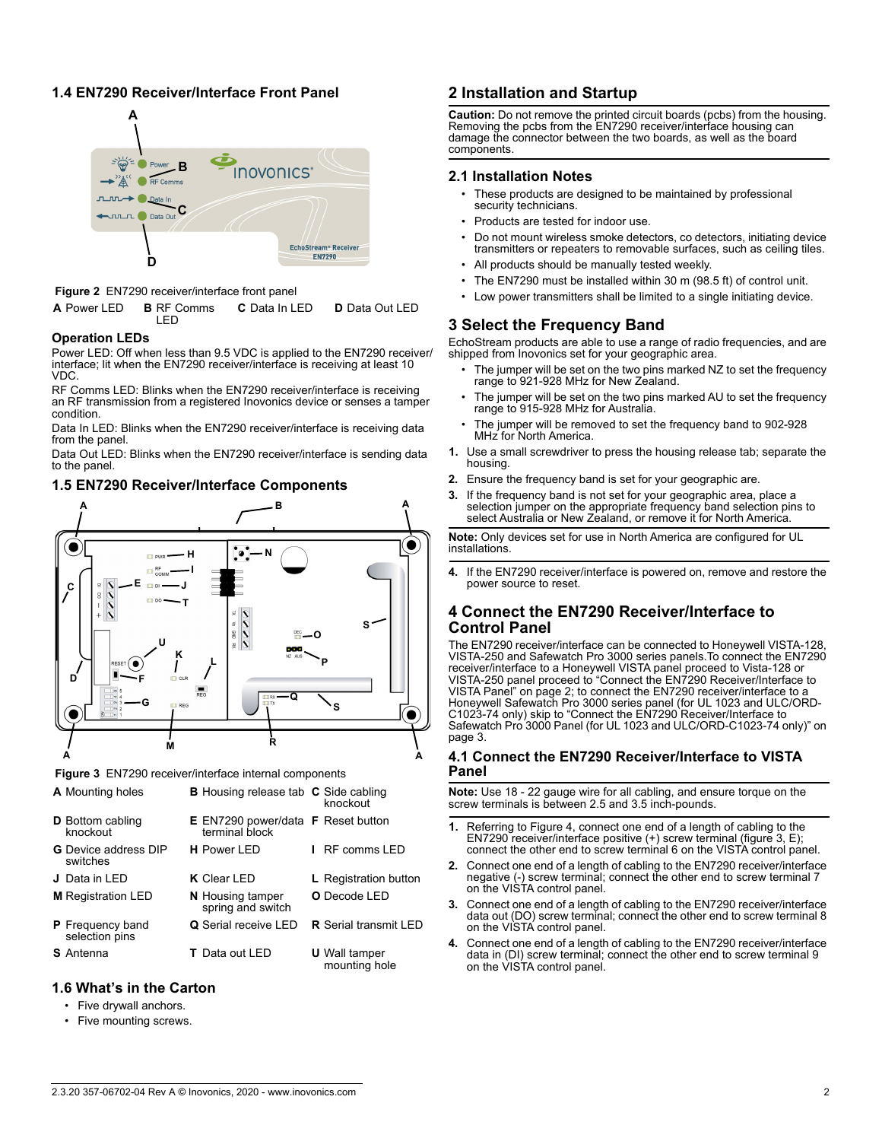## **1.4 EN7290 Receiver/Interface Front Panel**



 **Figure 2** EN7290 receiver/interface front panel

| <b>A</b> Power LED <b>B</b> RF Comms<br>I FD. | <b>C</b> Data In LED | <b>D</b> Data Out LED |
|-----------------------------------------------|----------------------|-----------------------|
|-----------------------------------------------|----------------------|-----------------------|

### **Operation LEDs**

Power LED: Off when less than 9.5 VDC is applied to the EN7290 receiver/ interface; lit when the EN7290 receiver/interface is receiving at least 10 VDC.

RF Comms LED: Blinks when the EN7290 receiver/interface is receiving an RF transmission from a registered Inovonics device or senses a tamper condition.

Data In LED: Blinks when the EN7290 receiver/interface is receiving data from the panel.

Data Out LED: Blinks when the EN7290 receiver/interface is sending data to the panel.

## **1.5 EN7290 Receiver/Interface Components**



 **Figure 3** EN7290 receiver/interface internal components

| <b>A</b> Mounting holes                   | <b>B</b> Housing release tab <b>C</b> Side cabling                 | knockout                              |
|-------------------------------------------|--------------------------------------------------------------------|---------------------------------------|
| <b>D</b> Bottom cabling<br>knockout       | <b>E</b> EN7290 power/data <b>F</b> Reset button<br>terminal block |                                       |
| <b>G</b> Device address DIP<br>switches   | <b>H</b> Power I FD                                                | RF comms LFD                          |
| J Data in LED                             | <b>K</b> Clear LED                                                 | <b>L</b> Registration button          |
| <b>M</b> Registration LED                 | <b>N</b> Housing tamper<br>spring and switch                       | <b>O</b> Decode LED                   |
| <b>P</b> Frequency band<br>selection pins | <b>Q</b> Serial receive LED                                        | <b>R</b> Serial transmit I FD         |
| <b>S</b> Antenna                          | <b>T</b> Data out LED                                              | <b>U</b> Wall tamper<br>mounting hole |

## **1.6 What's in the Carton**

- Five drywall anchors.
- Five mounting screws.

# **2 Installation and Startup**

**Caution:** Do not remove the printed circuit boards (pcbs) from the housing. Removing the pcbs from the EN7290 receiver/interface housing can damage the connector between the two boards, as well as the board components.

### **2.1 Installation Notes**

- These products are designed to be maintained by professional security technicians.
- Products are tested for indoor use.
- Do not mount wireless smoke detectors, co detectors, initiating device transmitters or repeaters to removable surfaces, such as ceiling tiles.
- All products should be manually tested weekly.
- The EN7290 must be installed within 30 m (98.5 ft) of control unit.
- Low power transmitters shall be limited to a single initiating device.

# **3 Select the Frequency Band**

EchoStream products are able to use a range of radio frequencies, and are shipped from Inovonics set for your geographic area.

- The jumper will be set on the two pins marked NZ to set the frequency range to 921-928 MHz for New Zealand.
- The iumper will be set on the two pins marked AU to set the frequency range to 915-928 MHz for Australia.
- The jumper will be removed to set the frequency band to 902-928 MHz for North America.
- **1.** Use a small screwdriver to press the housing release tab; separate the housing.
- **2.** Ensure the frequency band is set for your geographic are.
- **3.** If the frequency band is not set for your geographic area, place a selection jumper on the appropriate frequency band selection pins to select Australia or New Zealand, or remove it for North America.

**Note:** Only devices set for use in North America are configured for UL installations.

**4.** If the EN7290 receiver/interface is powered on, remove and restore the power source to reset.

## **4 Connect the EN7290 Receiver/Interface to Control Panel**

The EN7290 receiver/interface can be connected to Honeywell VISTA-128, VISTA-250 and Safewatch Pro 3000 series panels.To connect the EN7290 receiver/interface to a Honeywell VISTA panel proceed to Vista-128 or VISTA-250 panel proceed to "Connect the EN7290 Receiver/Interface to VISTA Panel" on page 2; to connect the EN7290 receiver/interface to a Honeywell Safewatch Pro 3000 series panel (for UL 1023 and ULC/ORD-C1023-74 only) skip to "Connect the EN7290 Receiver/Interface to Safewatch Pro 3000 Panel (for UL 1023 and ULC/ORD-C1023-74 only)" on page 3.

## **4.1 Connect the EN7290 Receiver/Interface to VISTA Panel**

**Note:** Use 18 - 22 gauge wire for all cabling, and ensure torque on the screw terminals is between 2.5 and 3.5 inch-pounds.

- **1.** Referring to Figure 4, connect one end of a length of cabling to the EN7290 receiver/interface positive (+) screw terminal (figure 3, E); connect the other end to screw terminal 6 on the VISTA control panel.
- **2.** Connect one end of a length of cabling to the EN7290 receiver/interface negative (-) screw terminal; connect the other end to screw terminal 7 on the VISTA control panel.
- **3.** Connect one end of a length of cabling to the EN7290 receiver/interface data out (DO) screw terminal; connect the other end to screw terminal 8 on the VISTA control panel.
- **4.** Connect one end of a length of cabling to the EN7290 receiver/interface data in (DI) screw terminal; connect the other end to screw terminal 9 on the VISTA control panel.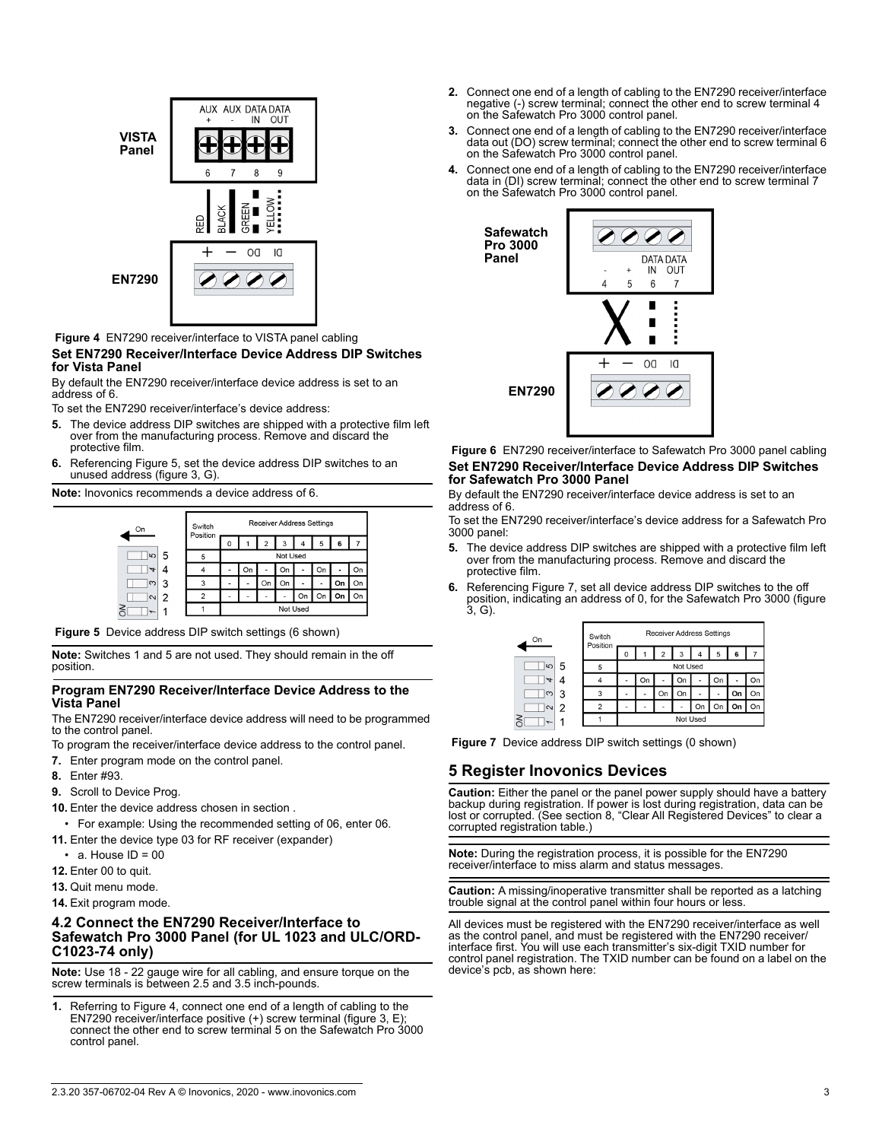

## **Figure 4** EN7290 receiver/interface to VISTA panel cabling

### **Set EN7290 Receiver/Interface Device Address DIP Switches for Vista Panel**

By default the EN7290 receiver/interface device address is set to an address of 6.

To set the EN7290 receiver/interface's device address:

- **5.** The device address DIP switches are shipped with a protective film left over from the manufacturing process. Remove and discard the protective film.
- **6.** Referencing Figure 5, set the device address DIP switches to an unused address (figure 3, G).

**Note:** Inovonics recommends a device address of 6.



 **Figure 5** Device address DIP switch settings (6 shown)

**Note:** Switches 1 and 5 are not used. They should remain in the off position.

#### **Program EN7290 Receiver/Interface Device Address to the Vista Panel**

The EN7290 receiver/interface device address will need to be programmed to the control panel.

- To program the receiver/interface device address to the control panel.
- **7.** Enter program mode on the control panel.
- **8.** Enter #93.
- **9.** Scroll to Device Prog.
- **10.** Enter the device address chosen in section .
	- For example: Using the recommended setting of 06, enter 06.
- **11.** Enter the device type 03 for RF receiver (expander)
- $\cdot$  a. House ID = 00
- **12.** Enter 00 to quit.
- **13.** Quit menu mode.
- **14.** Exit program mode.

### **4.2 Connect the EN7290 Receiver/Interface to Safewatch Pro 3000 Panel (for UL 1023 and ULC/ORD-C1023-74 only)**

**Note:** Use 18 - 22 gauge wire for all cabling, and ensure torque on the screw terminals is between 2.5 and 3.5 inch-pounds.

**1.** Referring to Figure 4, connect one end of a length of cabling to the EN7290 receiver/interface positive (+) screw terminal (figure 3, E); connect the other end to screw terminal 5 on the Safewatch Pro 3000 control panel.

- **2.** Connect one end of a length of cabling to the EN7290 receiver/interface negative (-) screw terminal; connect the other end to screw terminal 4 on the Safewatch Pro 3000 control panel.
- **3.** Connect one end of a length of cabling to the EN7290 receiver/interface data out (DO) screw terminal; connect the other end to screw terminal 6 on the Safewatch Pro 3000 control panel.
- **4.** Connect one end of a length of cabling to the EN7290 receiver/interface data in (DI) screw terminal; connect the other end to screw terminal 7 on the Safewatch Pro 3000 control panel.



 **Figure 6** EN7290 receiver/interface to Safewatch Pro 3000 panel cabling **Set EN7290 Receiver/Interface Device Address DIP Switches for Safewatch Pro 3000 Panel**

By default the EN7290 receiver/interface device address is set to an address of 6.

To set the EN7290 receiver/interface's device address for a Safewatch Pro 3000 panel:

- **5.** The device address DIP switches are shipped with a protective film left over from the manufacturing process. Remove and discard the protective film.
- **6.** Referencing Figure 7, set all device address DIP switches to the off position, indicating an address of 0, for the Safewatch Pro 3000 (figure 3, G).

| On             |   | Switch<br>Position | <b>Receiver Address Settings</b> |    |    |    |    |    |    |    |
|----------------|---|--------------------|----------------------------------|----|----|----|----|----|----|----|
|                |   |                    | Ω                                |    | 2  | 3  | 4  | 5  | 6  |    |
| $\omega$       | 5 | 5                  | Not Used                         |    |    |    |    |    |    |    |
| $\overline{ }$ |   |                    |                                  | On | ۰  | On |    | On | ٠  | On |
| $\infty$       | 3 | 3                  |                                  |    | On | On | ۰  |    | On | On |
| $\sim$         | 2 |                    |                                  |    |    | ۰  | On | On | On | On |
| I              |   |                    | Not Used                         |    |    |    |    |    |    |    |

 **Figure 7** Device address DIP switch settings (0 shown)

### **5 Register Inovonics Devices**

**Caution:** Either the panel or the panel power supply should have a battery backup during registration. If power is lost during registration, data can be lost or corrupted. (See section 8, "Clear All Registered Devices" to clear a corrupted registration table.)

**Note:** During the registration process, it is possible for the EN7290 receiver/interface to miss alarm and status messages.

**Caution:** A missing/inoperative transmitter shall be reported as a latching trouble signal at the control panel within four hours or less.

All devices must be registered with the EN7290 receiver/interface as well as the control panel, and must be registered with the EN7290 receiver/ interface first. You will use each transmitter's six-digit TXID number for control panel registration. The TXID number can be found on a label on the device's pcb, as shown here:

#### 2.3.20 357-06702-04 Rev A © Inovonics, 2020 - www.inovonics.com 3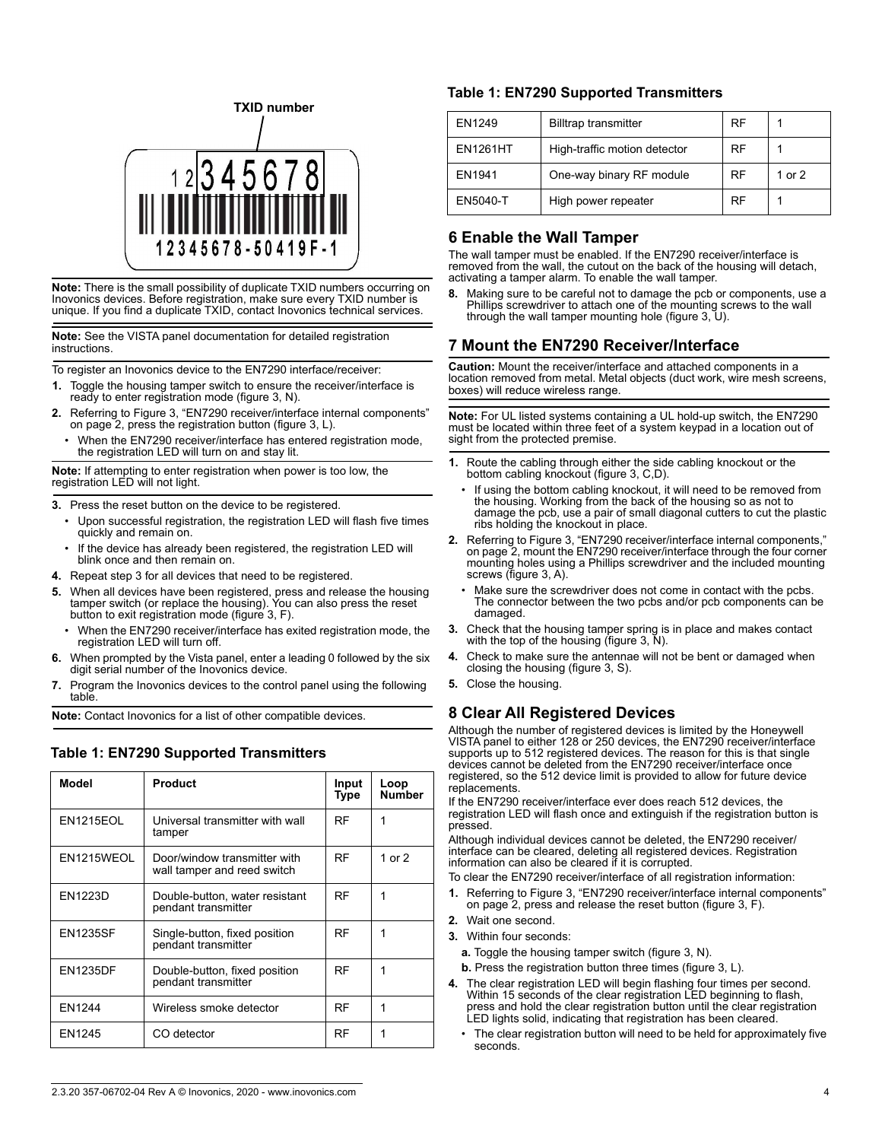

**Note:** There is the small possibility of duplicate TXID numbers occurring on Inovonics devices. Before registration, make sure every TXID number is unique. If you find a duplicate TXID, contact Inovonics technical services.

**Note:** See the VISTA panel documentation for detailed registration instructions.

To register an Inovonics device to the EN7290 interface/receiver:

- **1.** Toggle the housing tamper switch to ensure the receiver/interface is ready to enter registration mode (figure 3, N).
- **2.** Referring to Figure 3, "EN7290 receiver/interface internal components" on page 2, press the registration button (figure 3, L).
	- When the EN7290 receiver/interface has entered registration mode, the registration LED will turn on and stay lit.

**Note:** If attempting to enter registration when power is too low, the registration LED will not light.

**3.** Press the reset button on the device to be registered.

- Upon successful registration, the registration LED will flash five times quickly and remain on.
- If the device has already been registered, the registration LED will blink once and then remain on.
- **4.** Repeat step 3 for all devices that need to be registered.
- **5.** When all devices have been registered, press and release the housing tamper switch (or replace the housing). You can also press the reset button to exit registration mode (figure 3, F).
	- When the EN7290 receiver/interface has exited registration mode, the registration LED will turn off.
- **6.** When prompted by the Vista panel, enter a leading 0 followed by the six digit serial number of the Inovonics device.
- **7.** Program the Inovonics devices to the control panel using the following table.

**Note:** Contact Inovonics for a list of other compatible devices.

### **Table 1: EN7290 Supported Transmitters**

| Model            | <b>Product</b>                                              | Input<br>Type | Loop<br><b>Number</b> |
|------------------|-------------------------------------------------------------|---------------|-----------------------|
| <b>EN1215EOL</b> | Universal transmitter with wall<br>tamper                   | RF            | 1                     |
| EN1215WEOL       | Door/window transmitter with<br>wall tamper and reed switch | <b>RF</b>     | 1 or 2                |
| <b>EN1223D</b>   | Double-button, water resistant<br>pendant transmitter       | RF            | 1                     |
| <b>EN1235SF</b>  | Single-button, fixed position<br>pendant transmitter        | RF            | 1                     |
| <b>EN1235DF</b>  | Double-button, fixed position<br>pendant transmitter        | RF            | 1                     |
| EN1244           | Wireless smoke detector                                     | RF            | 1                     |
| EN1245           | CO detector                                                 | RF            | 1                     |

### **Table 1: EN7290 Supported Transmitters**

| EN1249          | <b>Billtrap transmitter</b>  | <b>RF</b> |          |
|-----------------|------------------------------|-----------|----------|
| <b>EN1261HT</b> | High-traffic motion detector | RF        |          |
| EN1941          | One-way binary RF module     | RF        | 1 or $2$ |
| EN5040-T        | High power repeater          | RF        |          |

# **6 Enable the Wall Tamper**

The wall tamper must be enabled. If the EN7290 receiver/interface is removed from the wall, the cutout on the back of the housing will detach, activating a tamper alarm. To enable the wall tamper.

**8.** Making sure to be careful not to damage the pcb or components, use a Phillips screwdriver to attach one of the mounting screws to the wall through the wall tamper mounting hole (figure 3, U).

# **7 Mount the EN7290 Receiver/Interface**

**Caution:** Mount the receiver/interface and attached components in a location removed from metal. Metal objects (duct work, wire mesh screens, boxes) will reduce wireless range.

**Note:** For UL listed systems containing a UL hold-up switch, the EN7290 must be located within three feet of a system keypad in a location out of sight from the protected premise.

- **1.** Route the cabling through either the side cabling knockout or the bottom cabling knockout (figure 3, C,D).
- If using the bottom cabling knockout, it will need to be removed from the housing. Working from the back of the housing so as not to damage the pcb, use a pair of small diagonal cutters to cut the plastic ribs holding the knockout in place.
- **2.** Referring to Figure 3, "EN7290 receiver/interface internal components," on page 2, mount the EN7290 receiver/interface through the four corner mounting holes using a Phillips screwdriver and the included mounting screws (figure 3, A).
	- Make sure the screwdriver does not come in contact with the pcbs. The connector between the two pcbs and/or pcb components can be damaged.
- **3.** Check that the housing tamper spring is in place and makes contact with the top of the housing (figure 3, N).
- **4.** Check to make sure the antennae will not be bent or damaged when closing the housing (figure 3, S).
- **5.** Close the housing.

## **8 Clear All Registered Devices**

Although the number of registered devices is limited by the Honeywell VISTA panel to either 128 or 250 devices, the EN7290 receiver/interface supports up to 512 registered devices. The reason for this is that single devices cannot be deleted from the EN7290 receiver/interface once registered, so the 512 device limit is provided to allow for future device replacements.

If the EN7290 receiver/interface ever does reach 512 devices, the registration LED will flash once and extinguish if the registration button is pressed.

Although individual devices cannot be deleted, the EN7290 receiver/ interface can be cleared, deleting all registered devices. Registration information can also be cleared if it is corrupted.

- To clear the EN7290 receiver/interface of all registration information:
- **1.** Referring to Figure 3, "EN7290 receiver/interface internal components" on page 2, press and release the reset button (figure 3, F).
- **2.** Wait one second.
- **3.** Within four seconds:
	- **a.** Toggle the housing tamper switch (figure 3, N).
	- **b.** Press the registration button three times (figure 3, L).
- **4.** The clear registration LED will begin flashing four times per second. Within 15 seconds of the clear registration LED beginning to flash press and hold the clear registration button until the clear registration LED lights solid, indicating that registration has been cleared.
	- The clear registration button will need to be held for approximately five seconds.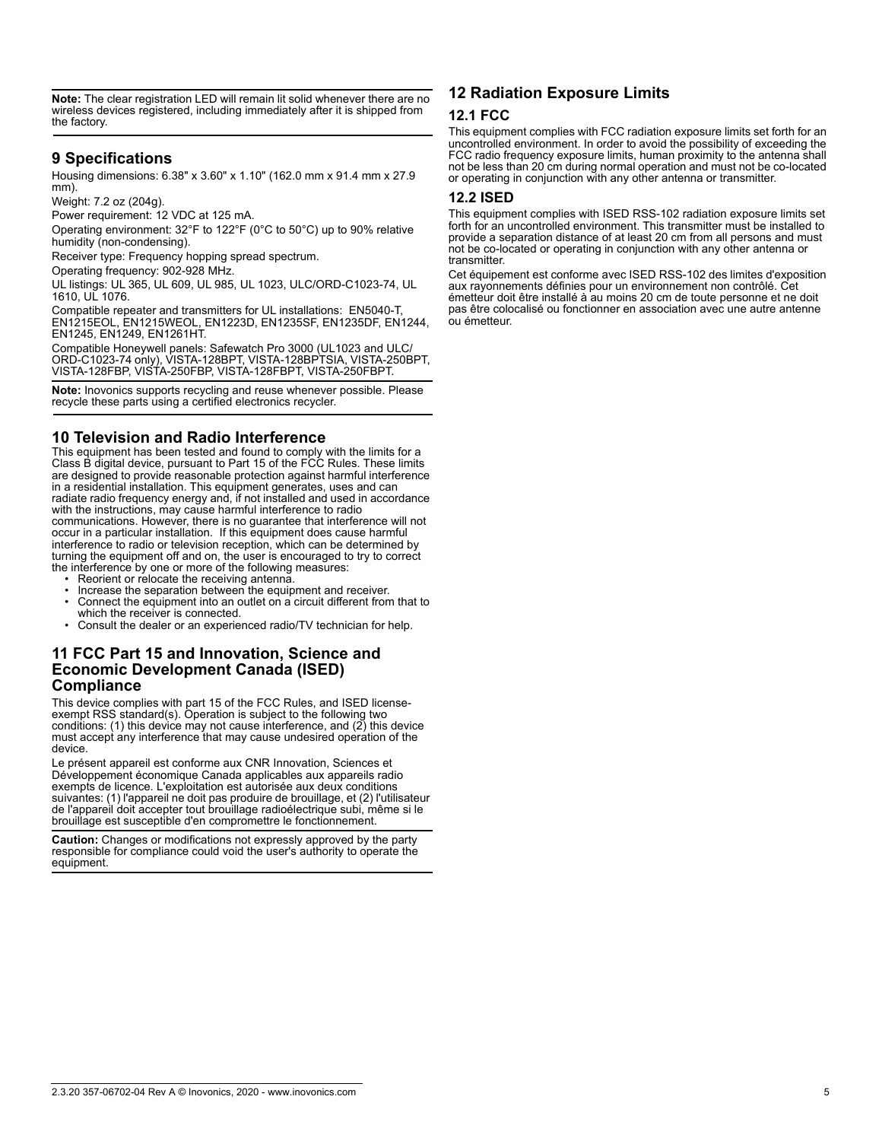**Note:** The clear registration LED will remain lit solid whenever there are no wireless devices registered, including immediately after it is shipped from the factory.

# **9 Specifications**

Housing dimensions: 6.38" x 3.60" x 1.10" (162.0 mm x 91.4 mm x 27.9 mm).

Weight: 7.2 oz (204g).

Power requirement: 12 VDC at 125 mA.

Operating environment: 32°F to 122°F (0°C to 50°C) up to 90% relative humidity (non-condensing).

Receiver type: Frequency hopping spread spectrum.

Operating frequency: 902-928 MHz.

UL listings: UL 365, UL 609, UL 985, UL 1023, ULC/ORD-C1023-74, UL 1610, UL 1076.

Compatible repeater and transmitters for UL installations: EN5040-T, EN1215EOL, EN1215WEOL, EN1223D, EN1235SF, EN1235DF, EN1244, EN1245, EN1249, EN1261HT.

Compatible Honeywell panels: Safewatch Pro 3000 (UL1023 and ULC/ ORD-C1023-74 only), VISTA-128BPT, VISTA-128BPTSIA, VISTA-250BPT, VISTA-128FBP, VISTA-250FBP, VISTA-128FBPT, VISTA-250FBPT.

**Note:** Inovonics supports recycling and reuse whenever possible. Please recycle these parts using a certified electronics recycler.

# **10 Television and Radio Interference**

This equipment has been tested and found to comply with the limits for a Class B digital device, pursuant to Part 15 of the FCC Rules. These limits are designed to provide reasonable protection against harmful interference in a residential installation. This equipment generates, uses and can radiate radio frequency energy and, if not installed and used in accordance with the instructions, may cause harmful interference to radio communications. However, there is no guarantee that interference will not occur in a particular installation. If this equipment does cause harmful interference to radio or television reception, which can be determined by turning the equipment off and on, the user is encouraged to try to correct the interference by one or more of the following measures:

- 
- Reorient or relocate the receiving antenna. Increase the separation between the equipment and receiver.
- Connect the equipment into an outlet on a circuit different from that to which the receiver is connected.
- Consult the dealer or an experienced radio/TV technician for help.

## **11 FCC Part 15 and Innovation, Science and Economic Development Canada (ISED) Compliance**

This device complies with part 15 of the FCC Rules, and ISED licenseexempt RSS standard(s). Operation is subject to the following two conditions: (1) this device may not cause interference, and  $(2)$  this device must accept any interference that may cause undesired operation of the device.

Le présent appareil est conforme aux CNR Innovation, Sciences et Développement économique Canada applicables aux appareils radio exempts de licence. L'exploitation est autorisée aux deux conditions suivantes: (1) l'appareil ne doit pas produire de brouillage, et (2) l'utilisateur de l'appareil doit accepter tout brouillage radioélectrique subi, même si le brouillage est susceptible d'en compromettre le fonctionnement.

**Caution:** Changes or modifications not expressly approved by the party responsible for compliance could void the user's authority to operate the equipment.

# **12 Radiation Exposure Limits**

### **12.1 FCC**

This equipment complies with FCC radiation exposure limits set forth for an uncontrolled environment. In order to avoid the possibility of exceeding the FCC radio frequency exposure limits, human proximity to the antenna shall not be less than 20 cm during normal operation and must not be co-located or operating in conjunction with any other antenna or transmitter.

## **12.2 ISED**

This equipment complies with ISED RSS-102 radiation exposure limits set forth for an uncontrolled environment. This transmitter must be installed to provide a separation distance of at least 20 cm from all persons and must not be co-located or operating in conjunction with any other antenna or transmitter.

Cet équipement est conforme avec ISED RSS-102 des limites d'exposition aux rayonnements définies pour un environnement non contrôlé. Cet émetteur doit être installé à au moins 20 cm de toute personne et ne doit pas être colocalisé ou fonctionner en association avec une autre antenne ou émetteur.